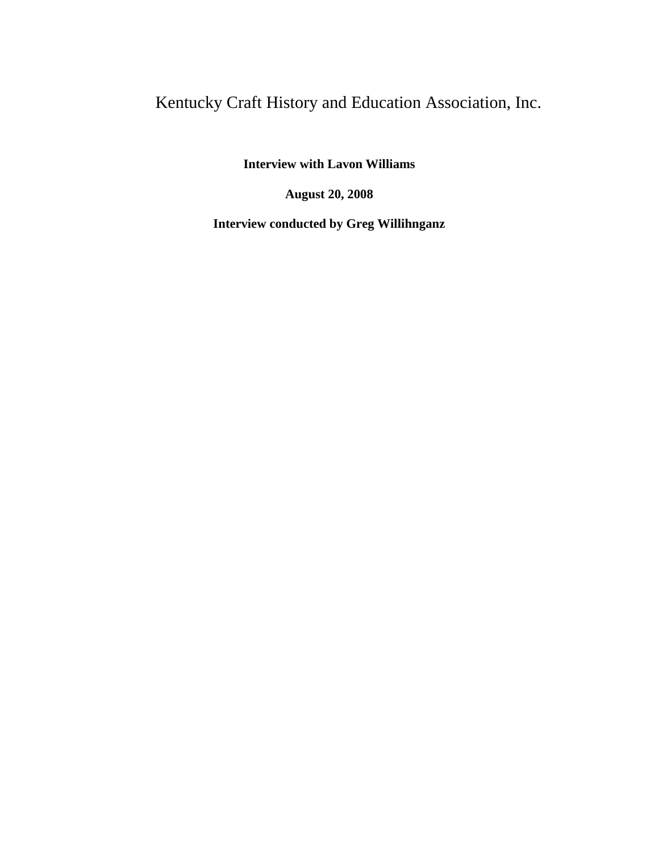## Kentucky Craft History and Education Association, Inc.

**Interview with Lavon Williams**

**August 20, 2008**

**Interview conducted by Greg Willihnganz**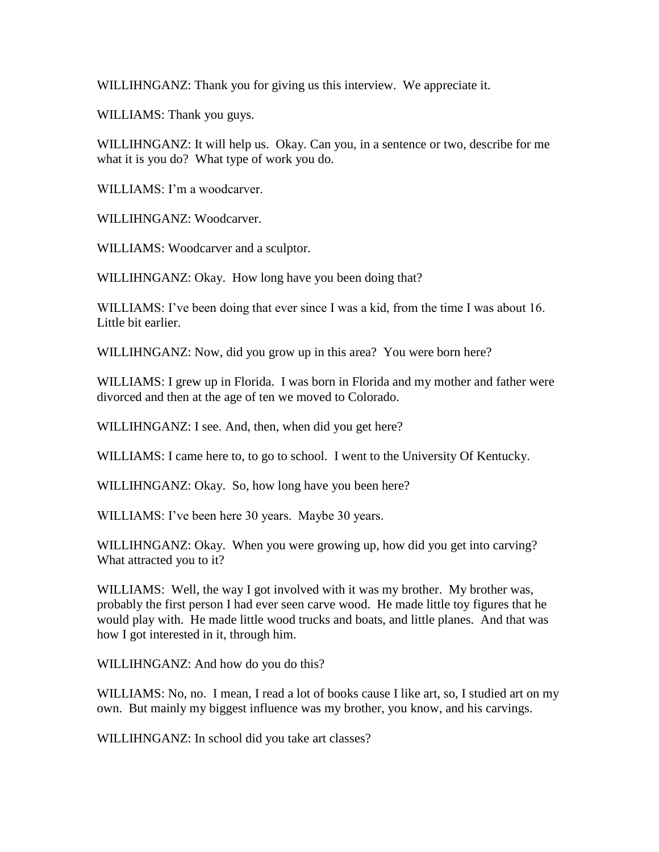WILLIHNGANZ: Thank you for giving us this interview. We appreciate it.

WILLIAMS: Thank you guys.

WILLIHNGANZ: It will help us. Okay. Can you, in a sentence or two, describe for me what it is you do? What type of work you do.

WILLIAMS: I'm a woodcarver.

WILLIHNGANZ: Woodcarver.

WILLIAMS: Woodcarver and a sculptor.

WILLIHNGANZ: Okay. How long have you been doing that?

WILLIAMS: I've been doing that ever since I was a kid, from the time I was about 16. Little bit earlier.

WILLIHNGANZ: Now, did you grow up in this area? You were born here?

WILLIAMS: I grew up in Florida. I was born in Florida and my mother and father were divorced and then at the age of ten we moved to Colorado.

WILLIHNGANZ: I see. And, then, when did you get here?

WILLIAMS: I came here to, to go to school. I went to the University Of Kentucky.

WILLIHNGANZ: Okay. So, how long have you been here?

WILLIAMS: I've been here 30 years. Maybe 30 years.

WILLIHNGANZ: Okay. When you were growing up, how did you get into carving? What attracted you to it?

WILLIAMS: Well, the way I got involved with it was my brother. My brother was, probably the first person I had ever seen carve wood. He made little toy figures that he would play with. He made little wood trucks and boats, and little planes. And that was how I got interested in it, through him.

WILLIHNGANZ: And how do you do this?

WILLIAMS: No, no. I mean, I read a lot of books cause I like art, so, I studied art on my own. But mainly my biggest influence was my brother, you know, and his carvings.

WILLIHNGANZ: In school did you take art classes?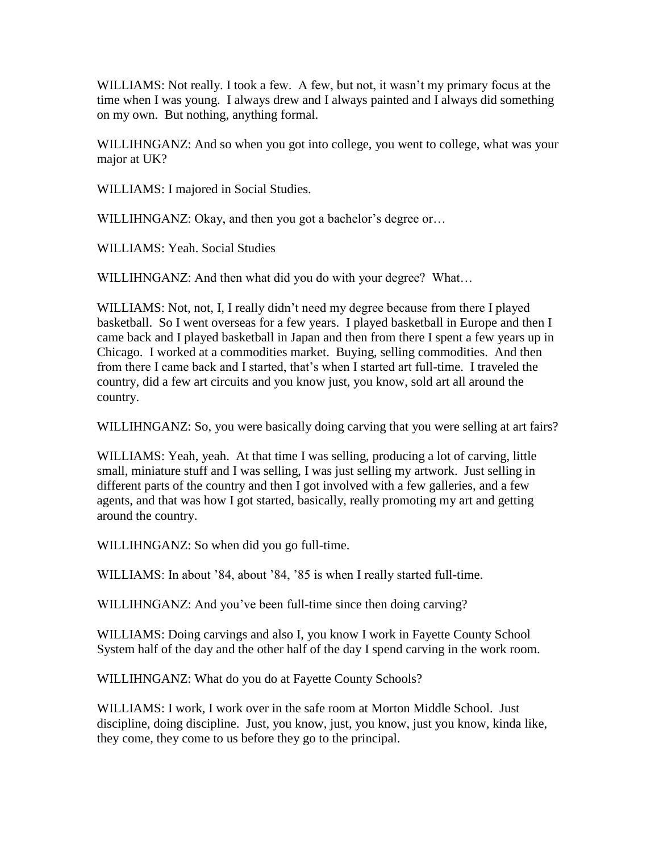WILLIAMS: Not really. I took a few. A few, but not, it wasn't my primary focus at the time when I was young. I always drew and I always painted and I always did something on my own. But nothing, anything formal.

WILLIHNGANZ: And so when you got into college, you went to college, what was your major at UK?

WILLIAMS: I majored in Social Studies.

WILLIHNGANZ: Okay, and then you got a bachelor's degree or...

WILLIAMS: Yeah. Social Studies

WILLIHNGANZ: And then what did you do with your degree? What…

WILLIAMS: Not, not, I, I really didn't need my degree because from there I played basketball. So I went overseas for a few years. I played basketball in Europe and then I came back and I played basketball in Japan and then from there I spent a few years up in Chicago. I worked at a commodities market. Buying, selling commodities. And then from there I came back and I started, that's when I started art full-time. I traveled the country, did a few art circuits and you know just, you know, sold art all around the country.

WILLIHNGANZ: So, you were basically doing carving that you were selling at art fairs?

WILLIAMS: Yeah, yeah. At that time I was selling, producing a lot of carving, little small, miniature stuff and I was selling, I was just selling my artwork. Just selling in different parts of the country and then I got involved with a few galleries, and a few agents, and that was how I got started, basically, really promoting my art and getting around the country.

WILLIHNGANZ: So when did you go full-time.

WILLIAMS: In about '84, about '84, '85 is when I really started full-time.

WILLIHNGANZ: And you've been full-time since then doing carving?

WILLIAMS: Doing carvings and also I, you know I work in Fayette County School System half of the day and the other half of the day I spend carving in the work room.

WILLIHNGANZ: What do you do at Fayette County Schools?

WILLIAMS: I work, I work over in the safe room at Morton Middle School. Just discipline, doing discipline. Just, you know, just, you know, just you know, kinda like, they come, they come to us before they go to the principal.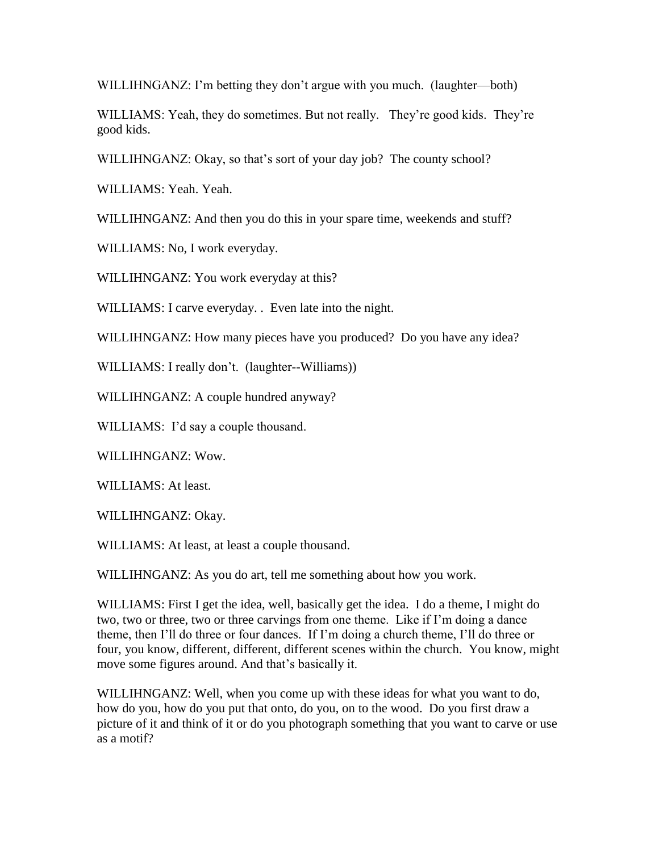WILLIHNGANZ: I'm betting they don't argue with you much. (laughter—both)

WILLIAMS: Yeah, they do sometimes. But not really. They're good kids. They're good kids.

WILLIHNGANZ: Okay, so that's sort of your day job? The county school?

WILLIAMS: Yeah. Yeah.

WILLIHNGANZ: And then you do this in your spare time, weekends and stuff?

WILLIAMS: No, I work everyday.

WILLIHNGANZ: You work everyday at this?

WILLIAMS: I carve everyday. . Even late into the night.

WILLIHNGANZ: How many pieces have you produced? Do you have any idea?

WILLIAMS: I really don't. (laughter--Williams))

WILLIHNGANZ: A couple hundred anyway?

WILLIAMS: I'd say a couple thousand.

WILLIHNGANZ: Wow.

WILLIAMS: At least.

WILLIHNGANZ: Okay.

WILLIAMS: At least, at least a couple thousand.

WILLIHNGANZ: As you do art, tell me something about how you work.

WILLIAMS: First I get the idea, well, basically get the idea. I do a theme, I might do two, two or three, two or three carvings from one theme. Like if I'm doing a dance theme, then I'll do three or four dances. If I'm doing a church theme, I'll do three or four, you know, different, different, different scenes within the church. You know, might move some figures around. And that's basically it.

WILLIHNGANZ: Well, when you come up with these ideas for what you want to do, how do you, how do you put that onto, do you, on to the wood. Do you first draw a picture of it and think of it or do you photograph something that you want to carve or use as a motif?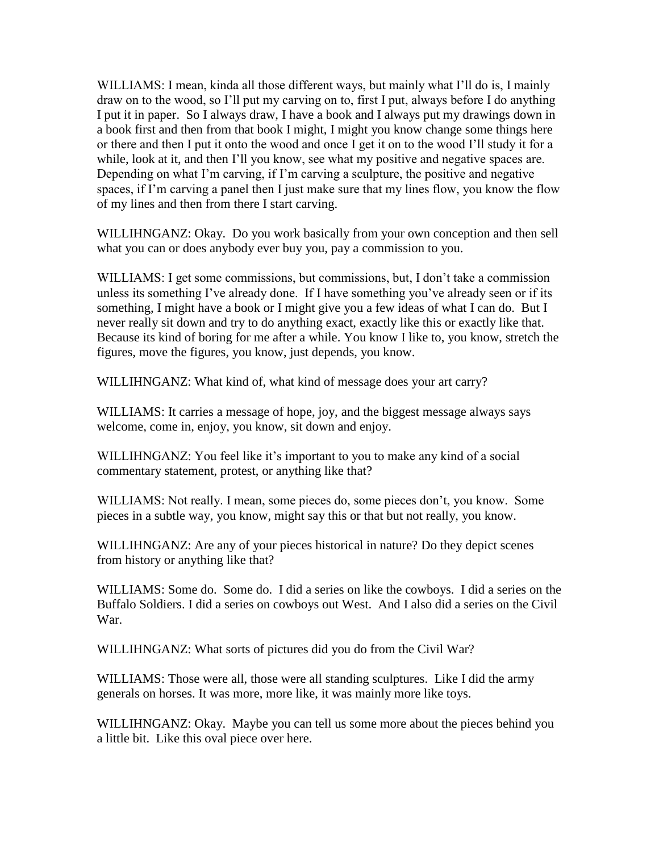WILLIAMS: I mean, kinda all those different ways, but mainly what I'll do is, I mainly draw on to the wood, so I'll put my carving on to, first I put, always before I do anything I put it in paper. So I always draw, I have a book and I always put my drawings down in a book first and then from that book I might, I might you know change some things here or there and then I put it onto the wood and once I get it on to the wood I'll study it for a while, look at it, and then I'll you know, see what my positive and negative spaces are. Depending on what I'm carving, if I'm carving a sculpture, the positive and negative spaces, if I'm carving a panel then I just make sure that my lines flow, you know the flow of my lines and then from there I start carving.

WILLIHNGANZ: Okay. Do you work basically from your own conception and then sell what you can or does anybody ever buy you, pay a commission to you.

WILLIAMS: I get some commissions, but commissions, but, I don't take a commission unless its something I've already done. If I have something you've already seen or if its something, I might have a book or I might give you a few ideas of what I can do. But I never really sit down and try to do anything exact, exactly like this or exactly like that. Because its kind of boring for me after a while. You know I like to, you know, stretch the figures, move the figures, you know, just depends, you know.

WILLIHNGANZ: What kind of, what kind of message does your art carry?

WILLIAMS: It carries a message of hope, joy, and the biggest message always says welcome, come in, enjoy, you know, sit down and enjoy.

WILLIHNGANZ: You feel like it's important to you to make any kind of a social commentary statement, protest, or anything like that?

WILLIAMS: Not really. I mean, some pieces do, some pieces don't, you know. Some pieces in a subtle way, you know, might say this or that but not really, you know.

WILLIHNGANZ: Are any of your pieces historical in nature? Do they depict scenes from history or anything like that?

WILLIAMS: Some do. Some do. I did a series on like the cowboys. I did a series on the Buffalo Soldiers. I did a series on cowboys out West. And I also did a series on the Civil War.

WILLIHNGANZ: What sorts of pictures did you do from the Civil War?

WILLIAMS: Those were all, those were all standing sculptures. Like I did the army generals on horses. It was more, more like, it was mainly more like toys.

WILLIHNGANZ: Okay. Maybe you can tell us some more about the pieces behind you a little bit. Like this oval piece over here.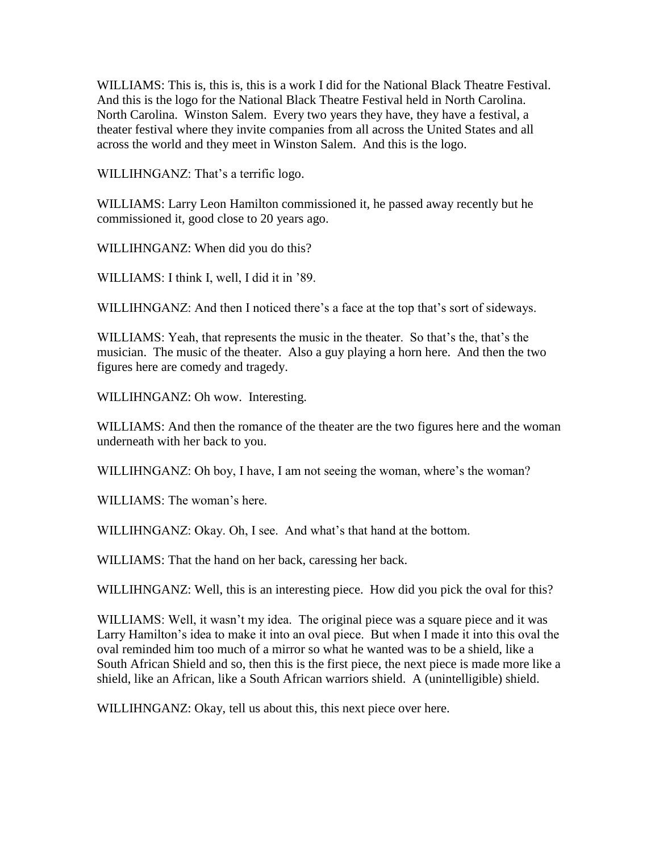WILLIAMS: This is, this is, this is a work I did for the National Black Theatre Festival. And this is the logo for the National Black Theatre Festival held in North Carolina. North Carolina. Winston Salem. Every two years they have, they have a festival, a theater festival where they invite companies from all across the United States and all across the world and they meet in Winston Salem. And this is the logo.

WILLIHNGANZ: That's a terrific logo.

WILLIAMS: Larry Leon Hamilton commissioned it, he passed away recently but he commissioned it, good close to 20 years ago.

WILLIHNGANZ: When did you do this?

WILLIAMS: I think I, well, I did it in '89.

WILLIHNGANZ: And then I noticed there's a face at the top that's sort of sideways.

WILLIAMS: Yeah, that represents the music in the theater. So that's the, that's the musician. The music of the theater. Also a guy playing a horn here. And then the two figures here are comedy and tragedy.

WILLIHNGANZ: Oh wow. Interesting.

WILLIAMS: And then the romance of the theater are the two figures here and the woman underneath with her back to you.

WILLIHNGANZ: Oh boy, I have, I am not seeing the woman, where's the woman?

WILLIAMS: The woman's here.

WILLIHNGANZ: Okay. Oh, I see. And what's that hand at the bottom.

WILLIAMS: That the hand on her back, caressing her back.

WILLIHNGANZ: Well, this is an interesting piece. How did you pick the oval for this?

WILLIAMS: Well, it wasn't my idea. The original piece was a square piece and it was Larry Hamilton's idea to make it into an oval piece. But when I made it into this oval the oval reminded him too much of a mirror so what he wanted was to be a shield, like a South African Shield and so, then this is the first piece, the next piece is made more like a shield, like an African, like a South African warriors shield. A (unintelligible) shield.

WILLIHNGANZ: Okay, tell us about this, this next piece over here.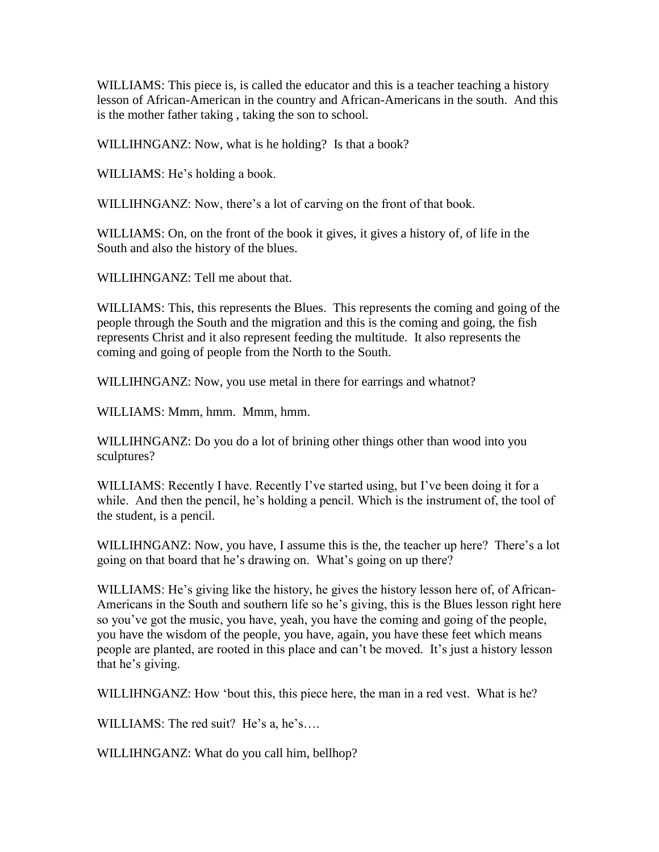WILLIAMS: This piece is, is called the educator and this is a teacher teaching a history lesson of African-American in the country and African-Americans in the south. And this is the mother father taking , taking the son to school.

WILLIHNGANZ: Now, what is he holding? Is that a book?

WILLIAMS: He's holding a book.

WILLIHNGANZ: Now, there's a lot of carving on the front of that book.

WILLIAMS: On, on the front of the book it gives, it gives a history of, of life in the South and also the history of the blues.

WILLIHNGANZ: Tell me about that.

WILLIAMS: This, this represents the Blues. This represents the coming and going of the people through the South and the migration and this is the coming and going, the fish represents Christ and it also represent feeding the multitude. It also represents the coming and going of people from the North to the South.

WILLIHNGANZ: Now, you use metal in there for earrings and whatnot?

WILLIAMS: Mmm, hmm. Mmm, hmm.

WILLIHNGANZ: Do you do a lot of brining other things other than wood into you sculptures?

WILLIAMS: Recently I have. Recently I've started using, but I've been doing it for a while. And then the pencil, he's holding a pencil. Which is the instrument of, the tool of the student, is a pencil.

WILLIHNGANZ: Now, you have, I assume this is the, the teacher up here? There's a lot going on that board that he's drawing on. What's going on up there?

WILLIAMS: He's giving like the history, he gives the history lesson here of, of African-Americans in the South and southern life so he's giving, this is the Blues lesson right here so you've got the music, you have, yeah, you have the coming and going of the people, you have the wisdom of the people, you have, again, you have these feet which means people are planted, are rooted in this place and can't be moved. It's just a history lesson that he's giving.

WILLIHNGANZ: How 'bout this, this piece here, the man in a red vest. What is he?

WILLIAMS: The red suit? He's a, he's....

WILLIHNGANZ: What do you call him, bellhop?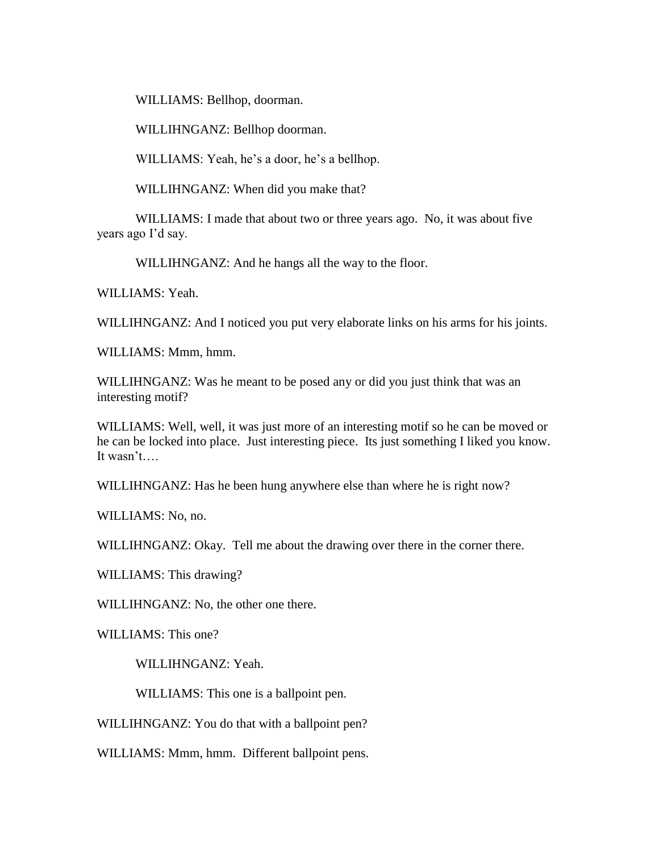WILLIAMS: Bellhop, doorman.

WILLIHNGANZ: Bellhop doorman.

WILLIAMS: Yeah, he's a door, he's a bellhop.

WILLIHNGANZ: When did you make that?

WILLIAMS: I made that about two or three years ago. No, it was about five years ago I'd say.

WILLIHNGANZ: And he hangs all the way to the floor.

WILLIAMS: Yeah.

WILLIHNGANZ: And I noticed you put very elaborate links on his arms for his joints.

WILLIAMS: Mmm, hmm.

WILLIHNGANZ: Was he meant to be posed any or did you just think that was an interesting motif?

WILLIAMS: Well, well, it was just more of an interesting motif so he can be moved or he can be locked into place. Just interesting piece. Its just something I liked you know. It wasn't….

WILLIHNGANZ: Has he been hung anywhere else than where he is right now?

WILLIAMS: No, no.

WILLIHNGANZ: Okay. Tell me about the drawing over there in the corner there.

WILLIAMS: This drawing?

WILLIHNGANZ: No, the other one there.

WILLIAMS: This one?

WILLIHNGANZ: Yeah.

WILLIAMS: This one is a ballpoint pen.

WILLIHNGANZ: You do that with a ballpoint pen?

WILLIAMS: Mmm, hmm. Different ballpoint pens.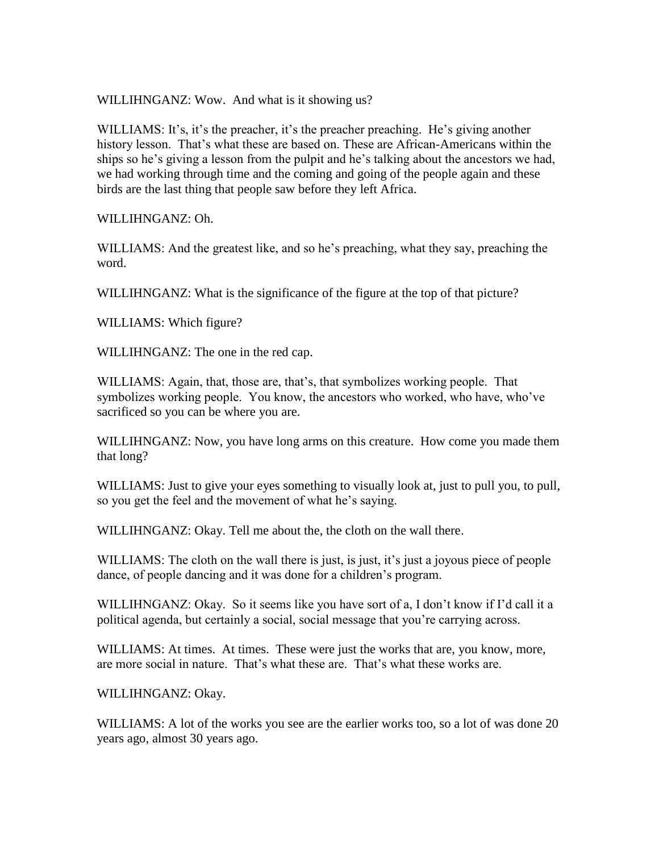WILLIHNGANZ: Wow. And what is it showing us?

WILLIAMS: It's, it's the preacher, it's the preacher preaching. He's giving another history lesson. That's what these are based on. These are African-Americans within the ships so he's giving a lesson from the pulpit and he's talking about the ancestors we had, we had working through time and the coming and going of the people again and these birds are the last thing that people saw before they left Africa.

WILLIHNGANZ: Oh.

WILLIAMS: And the greatest like, and so he's preaching, what they say, preaching the word.

WILLIHNGANZ: What is the significance of the figure at the top of that picture?

WILLIAMS: Which figure?

WILLIHNGANZ: The one in the red cap.

WILLIAMS: Again, that, those are, that's, that symbolizes working people. That symbolizes working people. You know, the ancestors who worked, who have, who've sacrificed so you can be where you are.

WILLIHNGANZ: Now, you have long arms on this creature. How come you made them that long?

WILLIAMS: Just to give your eyes something to visually look at, just to pull you, to pull, so you get the feel and the movement of what he's saying.

WILLIHNGANZ: Okay. Tell me about the, the cloth on the wall there.

WILLIAMS: The cloth on the wall there is just, is just, it's just a joyous piece of people dance, of people dancing and it was done for a children's program.

WILLIHNGANZ: Okay. So it seems like you have sort of a, I don't know if I'd call it a political agenda, but certainly a social, social message that you're carrying across.

WILLIAMS: At times. At times. These were just the works that are, you know, more, are more social in nature. That's what these are. That's what these works are.

WILLIHNGANZ: Okay.

WILLIAMS: A lot of the works you see are the earlier works too, so a lot of was done 20 years ago, almost 30 years ago.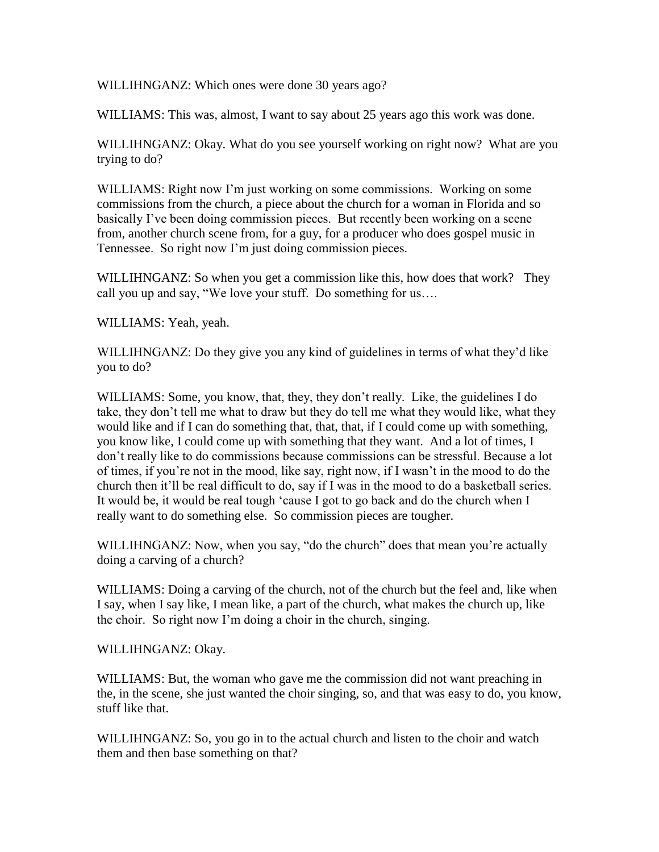WILLIHNGANZ: Which ones were done 30 years ago?

WILLIAMS: This was, almost, I want to say about 25 years ago this work was done.

WILLIHNGANZ: Okay. What do you see yourself working on right now? What are you trying to do?

WILLIAMS: Right now I'm just working on some commissions. Working on some commissions from the church, a piece about the church for a woman in Florida and so basically I've been doing commission pieces. But recently been working on a scene from, another church scene from, for a guy, for a producer who does gospel music in Tennessee. So right now I'm just doing commission pieces.

WILLIHNGANZ: So when you get a commission like this, how does that work? They call you up and say, "We love your stuff. Do something for us….

WILLIAMS: Yeah, yeah.

WILLIHNGANZ: Do they give you any kind of guidelines in terms of what they'd like you to do?

WILLIAMS: Some, you know, that, they, they don't really. Like, the guidelines I do take, they don't tell me what to draw but they do tell me what they would like, what they would like and if I can do something that, that, that, if I could come up with something, you know like, I could come up with something that they want. And a lot of times, I don't really like to do commissions because commissions can be stressful. Because a lot of times, if you're not in the mood, like say, right now, if I wasn't in the mood to do the church then it'll be real difficult to do, say if I was in the mood to do a basketball series. It would be, it would be real tough 'cause I got to go back and do the church when I really want to do something else. So commission pieces are tougher.

WILLIHNGANZ: Now, when you say, "do the church" does that mean you're actually doing a carving of a church?

WILLIAMS: Doing a carving of the church, not of the church but the feel and, like when I say, when I say like, I mean like, a part of the church, what makes the church up, like the choir. So right now I'm doing a choir in the church, singing.

WILLIHNGANZ: Okay.

WILLIAMS: But, the woman who gave me the commission did not want preaching in the, in the scene, she just wanted the choir singing, so, and that was easy to do, you know, stuff like that.

WILLIHNGANZ: So, you go in to the actual church and listen to the choir and watch them and then base something on that?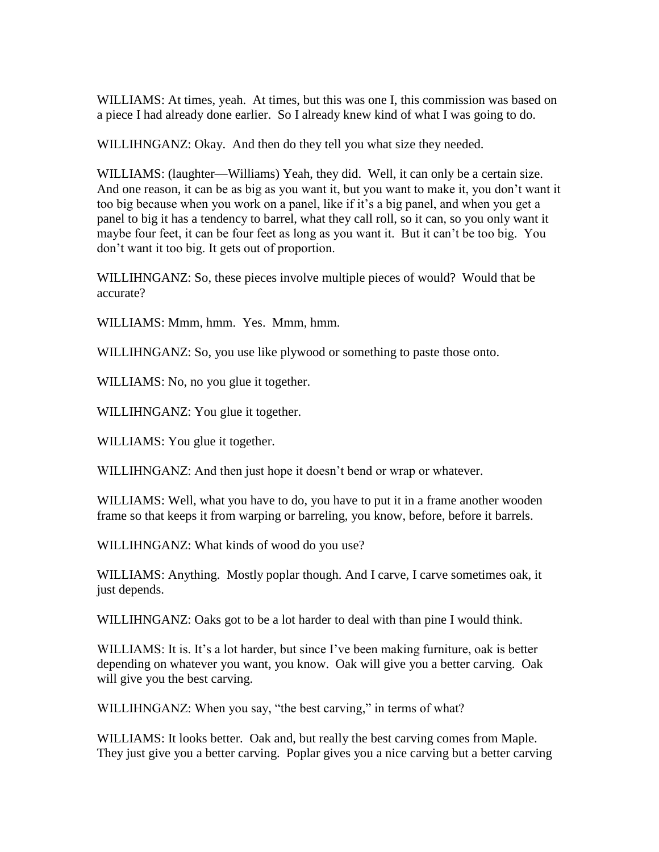WILLIAMS: At times, yeah. At times, but this was one I, this commission was based on a piece I had already done earlier. So I already knew kind of what I was going to do.

WILLIHNGANZ: Okay. And then do they tell you what size they needed.

WILLIAMS: (laughter—Williams) Yeah, they did. Well, it can only be a certain size. And one reason, it can be as big as you want it, but you want to make it, you don't want it too big because when you work on a panel, like if it's a big panel, and when you get a panel to big it has a tendency to barrel, what they call roll, so it can, so you only want it maybe four feet, it can be four feet as long as you want it. But it can't be too big. You don't want it too big. It gets out of proportion.

WILLIHNGANZ: So, these pieces involve multiple pieces of would? Would that be accurate?

WILLIAMS: Mmm, hmm. Yes. Mmm, hmm.

WILLIHNGANZ: So, you use like plywood or something to paste those onto.

WILLIAMS: No, no you glue it together.

WILLIHNGANZ: You glue it together.

WILLIAMS: You glue it together.

WILLIHNGANZ: And then just hope it doesn't bend or wrap or whatever.

WILLIAMS: Well, what you have to do, you have to put it in a frame another wooden frame so that keeps it from warping or barreling, you know, before, before it barrels.

WILLIHNGANZ: What kinds of wood do you use?

WILLIAMS: Anything. Mostly poplar though. And I carve, I carve sometimes oak, it just depends.

WILLIHNGANZ: Oaks got to be a lot harder to deal with than pine I would think.

WILLIAMS: It is. It's a lot harder, but since I've been making furniture, oak is better depending on whatever you want, you know. Oak will give you a better carving. Oak will give you the best carving.

WILLIHNGANZ: When you say, "the best carving," in terms of what?

WILLIAMS: It looks better. Oak and, but really the best carving comes from Maple. They just give you a better carving. Poplar gives you a nice carving but a better carving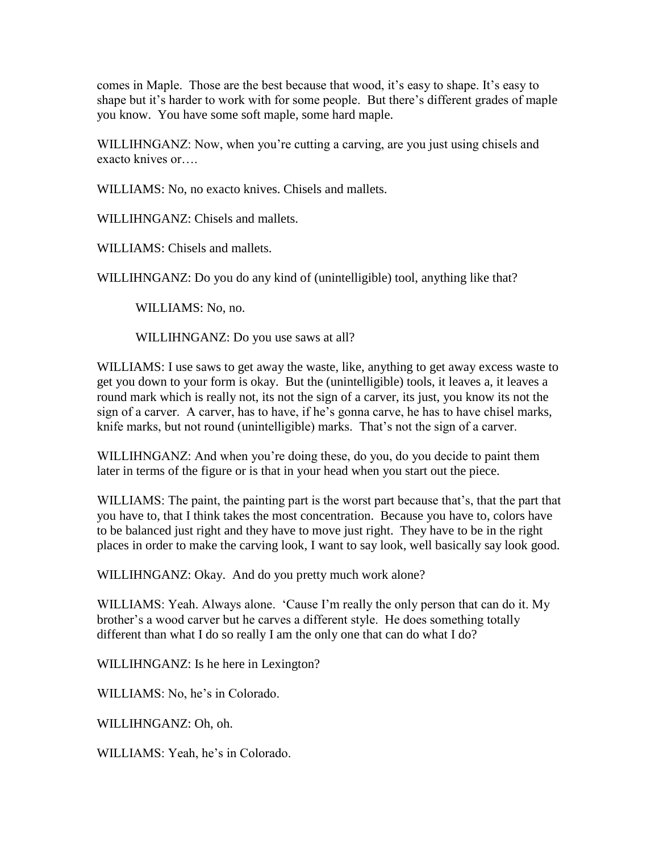comes in Maple. Those are the best because that wood, it's easy to shape. It's easy to shape but it's harder to work with for some people. But there's different grades of maple you know. You have some soft maple, some hard maple.

WILLIHNGANZ: Now, when you're cutting a carving, are you just using chisels and exacto knives or….

WILLIAMS: No, no exacto knives. Chisels and mallets.

WILLIHNGANZ: Chisels and mallets.

WILLIAMS: Chisels and mallets.

WILLIHNGANZ: Do you do any kind of (unintelligible) tool, anything like that?

WILLIAMS: No, no.

WILLIHNGANZ: Do you use saws at all?

WILLIAMS: I use saws to get away the waste, like, anything to get away excess waste to get you down to your form is okay. But the (unintelligible) tools, it leaves a, it leaves a round mark which is really not, its not the sign of a carver, its just, you know its not the sign of a carver. A carver, has to have, if he's gonna carve, he has to have chisel marks, knife marks, but not round (unintelligible) marks. That's not the sign of a carver.

WILLIHNGANZ: And when you're doing these, do you, do you decide to paint them later in terms of the figure or is that in your head when you start out the piece.

WILLIAMS: The paint, the painting part is the worst part because that's, that the part that you have to, that I think takes the most concentration. Because you have to, colors have to be balanced just right and they have to move just right. They have to be in the right places in order to make the carving look, I want to say look, well basically say look good.

WILLIHNGANZ: Okay. And do you pretty much work alone?

WILLIAMS: Yeah. Always alone. 'Cause I'm really the only person that can do it. My brother's a wood carver but he carves a different style. He does something totally different than what I do so really I am the only one that can do what I do?

WILLIHNGANZ: Is he here in Lexington?

WILLIAMS: No, he's in Colorado.

WILLIHNGANZ: Oh, oh.

WILLIAMS: Yeah, he's in Colorado.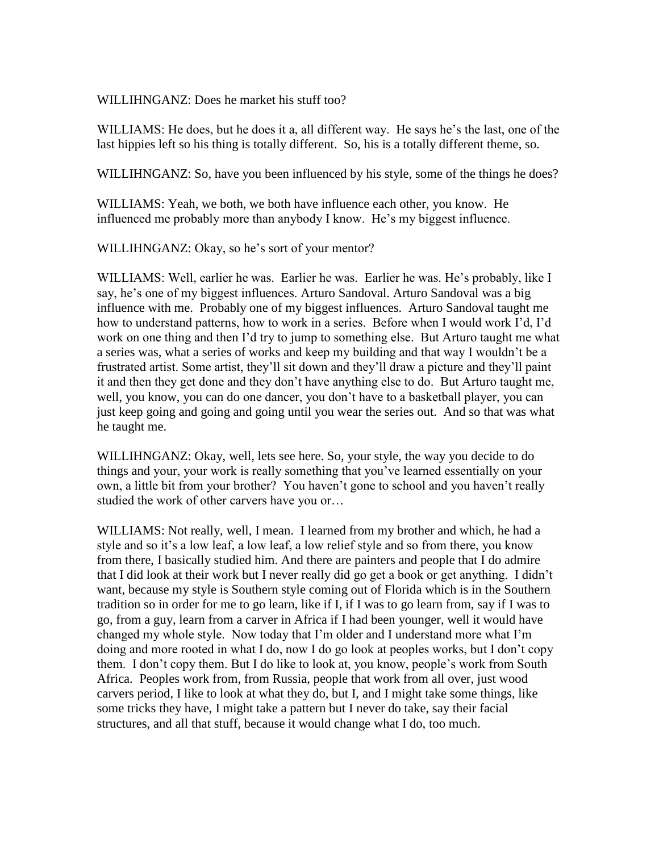WILLIHNGANZ: Does he market his stuff too?

WILLIAMS: He does, but he does it a, all different way. He says he's the last, one of the last hippies left so his thing is totally different. So, his is a totally different theme, so.

WILLIHNGANZ: So, have you been influenced by his style, some of the things he does?

WILLIAMS: Yeah, we both, we both have influence each other, you know. He influenced me probably more than anybody I know. He's my biggest influence.

WILLIHNGANZ: Okay, so he's sort of your mentor?

WILLIAMS: Well, earlier he was. Earlier he was. Earlier he was. He's probably, like I say, he's one of my biggest influences. Arturo Sandoval. Arturo Sandoval was a big influence with me. Probably one of my biggest influences. Arturo Sandoval taught me how to understand patterns, how to work in a series. Before when I would work I'd, I'd work on one thing and then I'd try to jump to something else. But Arturo taught me what a series was, what a series of works and keep my building and that way I wouldn't be a frustrated artist. Some artist, they'll sit down and they'll draw a picture and they'll paint it and then they get done and they don't have anything else to do. But Arturo taught me, well, you know, you can do one dancer, you don't have to a basketball player, you can just keep going and going and going until you wear the series out. And so that was what he taught me.

WILLIHNGANZ: Okay, well, lets see here. So, your style, the way you decide to do things and your, your work is really something that you've learned essentially on your own, a little bit from your brother? You haven't gone to school and you haven't really studied the work of other carvers have you or…

WILLIAMS: Not really, well, I mean. I learned from my brother and which, he had a style and so it's a low leaf, a low leaf, a low relief style and so from there, you know from there, I basically studied him. And there are painters and people that I do admire that I did look at their work but I never really did go get a book or get anything. I didn't want, because my style is Southern style coming out of Florida which is in the Southern tradition so in order for me to go learn, like if I, if I was to go learn from, say if I was to go, from a guy, learn from a carver in Africa if I had been younger, well it would have changed my whole style. Now today that I'm older and I understand more what I'm doing and more rooted in what I do, now I do go look at peoples works, but I don't copy them. I don't copy them. But I do like to look at, you know, people's work from South Africa. Peoples work from, from Russia, people that work from all over, just wood carvers period, I like to look at what they do, but I, and I might take some things, like some tricks they have, I might take a pattern but I never do take, say their facial structures, and all that stuff, because it would change what I do, too much.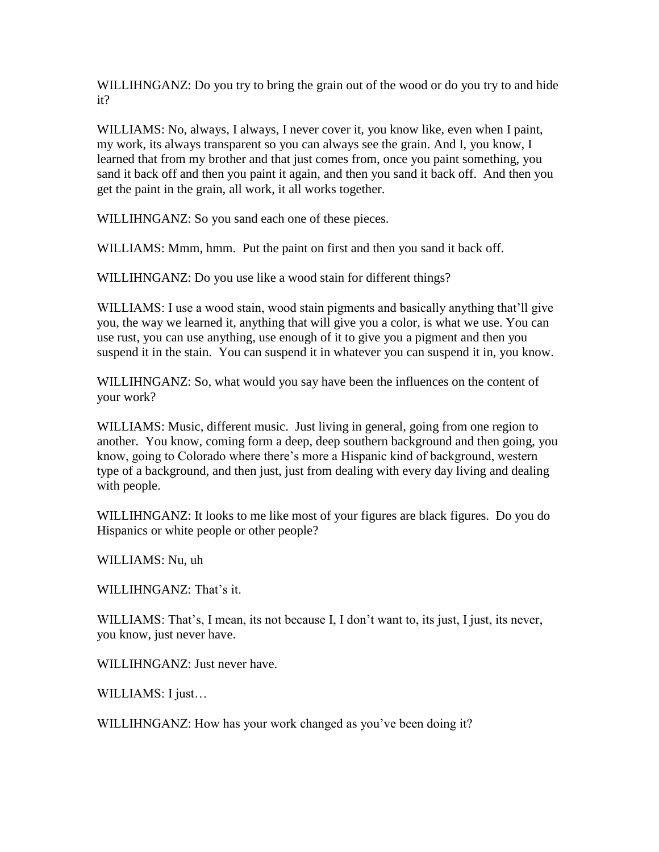WILLIHNGANZ: Do you try to bring the grain out of the wood or do you try to and hide it?

WILLIAMS: No, always, I always, I never cover it, you know like, even when I paint, my work, its always transparent so you can always see the grain. And I, you know, I learned that from my brother and that just comes from, once you paint something, you sand it back off and then you paint it again, and then you sand it back off. And then you get the paint in the grain, all work, it all works together.

WILLIHNGANZ: So you sand each one of these pieces.

WILLIAMS: Mmm, hmm. Put the paint on first and then you sand it back off.

WILLIHNGANZ: Do you use like a wood stain for different things?

WILLIAMS: I use a wood stain, wood stain pigments and basically anything that'll give you, the way we learned it, anything that will give you a color, is what we use. You can use rust, you can use anything, use enough of it to give you a pigment and then you suspend it in the stain. You can suspend it in whatever you can suspend it in, you know.

WILLIHNGANZ: So, what would you say have been the influences on the content of your work?

WILLIAMS: Music, different music. Just living in general, going from one region to another. You know, coming form a deep, deep southern background and then going, you know, going to Colorado where there's more a Hispanic kind of background, western type of a background, and then just, just from dealing with every day living and dealing with people.

WILLIHNGANZ: It looks to me like most of your figures are black figures. Do you do Hispanics or white people or other people?

WILLIAMS: Nu, uh

WILLIHNGANZ: That's it.

WILLIAMS: That's, I mean, its not because I, I don't want to, its just, I just, its never, you know, just never have.

WILLIHNGANZ: Just never have.

WILLIAMS: I just…

WILLIHNGANZ: How has your work changed as you've been doing it?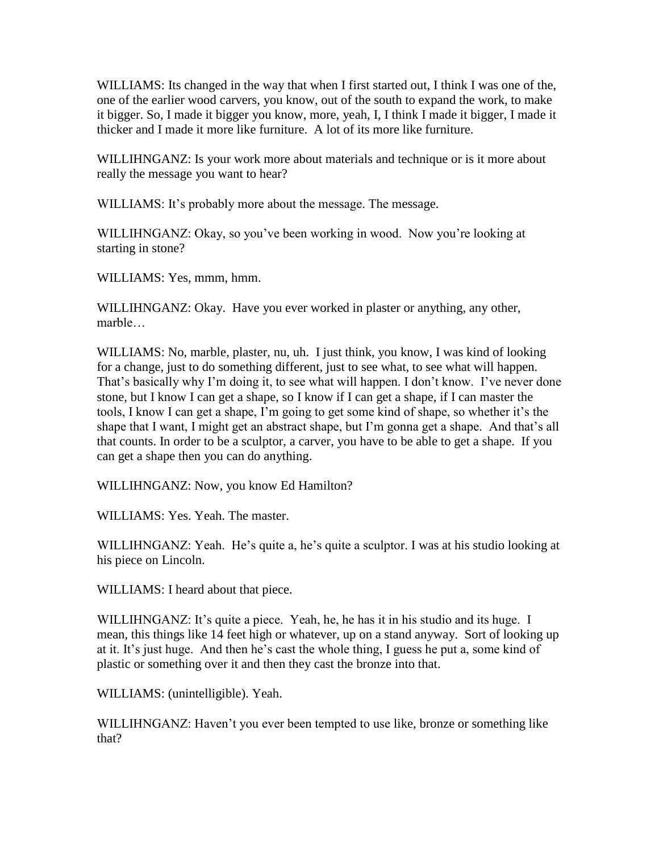WILLIAMS: Its changed in the way that when I first started out, I think I was one of the, one of the earlier wood carvers, you know, out of the south to expand the work, to make it bigger. So, I made it bigger you know, more, yeah, I, I think I made it bigger, I made it thicker and I made it more like furniture. A lot of its more like furniture.

WILLIHNGANZ: Is your work more about materials and technique or is it more about really the message you want to hear?

WILLIAMS: It's probably more about the message. The message.

WILLIHNGANZ: Okay, so you've been working in wood. Now you're looking at starting in stone?

WILLIAMS: Yes, mmm, hmm.

WILLIHNGANZ: Okay. Have you ever worked in plaster or anything, any other, marble…

WILLIAMS: No, marble, plaster, nu, uh. I just think, you know, I was kind of looking for a change, just to do something different, just to see what, to see what will happen. That's basically why I'm doing it, to see what will happen. I don't know. I've never done stone, but I know I can get a shape, so I know if I can get a shape, if I can master the tools, I know I can get a shape, I'm going to get some kind of shape, so whether it's the shape that I want, I might get an abstract shape, but I'm gonna get a shape. And that's all that counts. In order to be a sculptor, a carver, you have to be able to get a shape. If you can get a shape then you can do anything.

WILLIHNGANZ: Now, you know Ed Hamilton?

WILLIAMS: Yes. Yeah. The master.

WILLIHNGANZ: Yeah. He's quite a, he's quite a sculptor. I was at his studio looking at his piece on Lincoln.

WILLIAMS: I heard about that piece.

WILLIHNGANZ: It's quite a piece. Yeah, he, he has it in his studio and its huge. I mean, this things like 14 feet high or whatever, up on a stand anyway. Sort of looking up at it. It's just huge. And then he's cast the whole thing, I guess he put a, some kind of plastic or something over it and then they cast the bronze into that.

WILLIAMS: (unintelligible). Yeah.

WILLIHNGANZ: Haven't you ever been tempted to use like, bronze or something like that?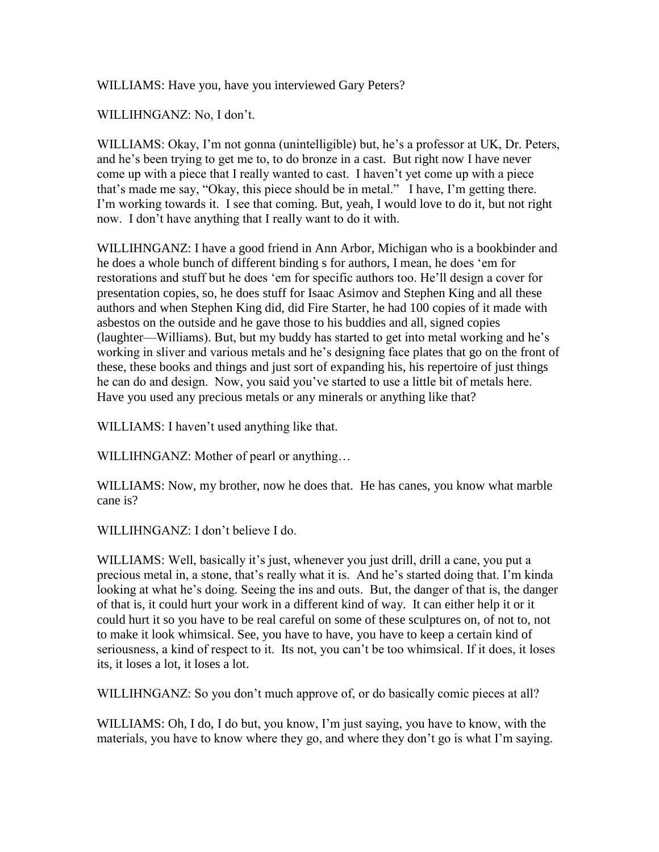WILLIAMS: Have you, have you interviewed Gary Peters?

WILLIHNGANZ: No, I don't.

WILLIAMS: Okay, I'm not gonna (unintelligible) but, he's a professor at UK, Dr. Peters, and he's been trying to get me to, to do bronze in a cast. But right now I have never come up with a piece that I really wanted to cast. I haven't yet come up with a piece that's made me say, "Okay, this piece should be in metal." I have, I'm getting there. I'm working towards it. I see that coming. But, yeah, I would love to do it, but not right now. I don't have anything that I really want to do it with.

WILLIHNGANZ: I have a good friend in Ann Arbor, Michigan who is a bookbinder and he does a whole bunch of different binding s for authors, I mean, he does 'em for restorations and stuff but he does 'em for specific authors too. He'll design a cover for presentation copies, so, he does stuff for Isaac Asimov and Stephen King and all these authors and when Stephen King did, did Fire Starter, he had 100 copies of it made with asbestos on the outside and he gave those to his buddies and all, signed copies (laughter—Williams). But, but my buddy has started to get into metal working and he's working in sliver and various metals and he's designing face plates that go on the front of these, these books and things and just sort of expanding his, his repertoire of just things he can do and design. Now, you said you've started to use a little bit of metals here. Have you used any precious metals or any minerals or anything like that?

WILLIAMS: I haven't used anything like that.

WILLIHNGANZ: Mother of pearl or anything…

WILLIAMS: Now, my brother, now he does that. He has canes, you know what marble cane is?

WILLIHNGANZ: I don't believe I do.

WILLIAMS: Well, basically it's just, whenever you just drill, drill a cane, you put a precious metal in, a stone, that's really what it is. And he's started doing that. I'm kinda looking at what he's doing. Seeing the ins and outs. But, the danger of that is, the danger of that is, it could hurt your work in a different kind of way. It can either help it or it could hurt it so you have to be real careful on some of these sculptures on, of not to, not to make it look whimsical. See, you have to have, you have to keep a certain kind of seriousness, a kind of respect to it. Its not, you can't be too whimsical. If it does, it loses its, it loses a lot, it loses a lot.

WILLIHNGANZ: So you don't much approve of, or do basically comic pieces at all?

WILLIAMS: Oh, I do, I do but, you know, I'm just saying, you have to know, with the materials, you have to know where they go, and where they don't go is what I'm saying.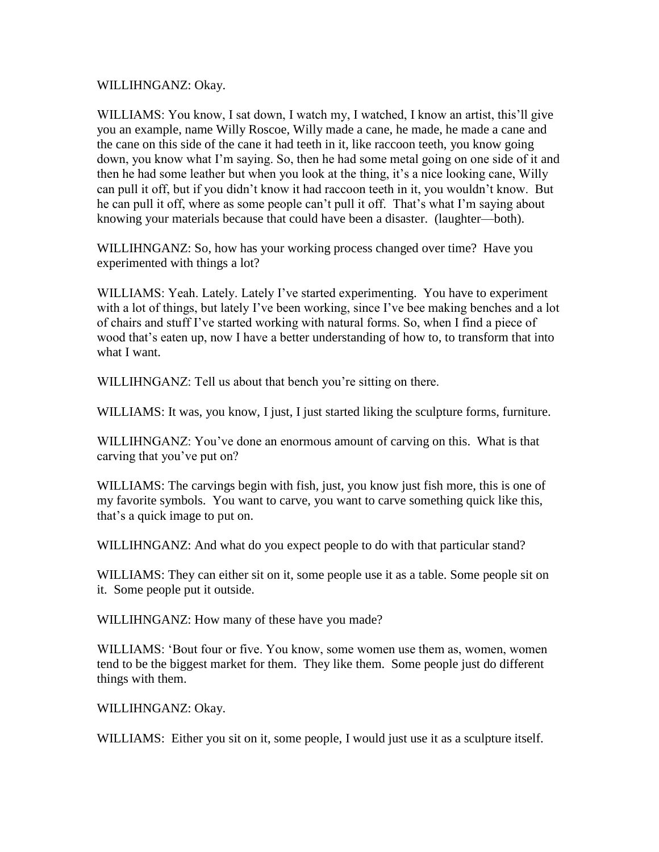WILLIHNGANZ: Okay.

WILLIAMS: You know, I sat down, I watch my, I watched, I know an artist, this'll give you an example, name Willy Roscoe, Willy made a cane, he made, he made a cane and the cane on this side of the cane it had teeth in it, like raccoon teeth, you know going down, you know what I'm saying. So, then he had some metal going on one side of it and then he had some leather but when you look at the thing, it's a nice looking cane, Willy can pull it off, but if you didn't know it had raccoon teeth in it, you wouldn't know. But he can pull it off, where as some people can't pull it off. That's what I'm saying about knowing your materials because that could have been a disaster. (laughter—both).

WILLIHNGANZ: So, how has your working process changed over time? Have you experimented with things a lot?

WILLIAMS: Yeah. Lately. Lately I've started experimenting. You have to experiment with a lot of things, but lately I've been working, since I've bee making benches and a lot of chairs and stuff I've started working with natural forms. So, when I find a piece of wood that's eaten up, now I have a better understanding of how to, to transform that into what I want.

WILLIHNGANZ: Tell us about that bench you're sitting on there.

WILLIAMS: It was, you know, I just, I just started liking the sculpture forms, furniture.

WILLIHNGANZ: You've done an enormous amount of carving on this. What is that carving that you've put on?

WILLIAMS: The carvings begin with fish, just, you know just fish more, this is one of my favorite symbols. You want to carve, you want to carve something quick like this, that's a quick image to put on.

WILLIHNGANZ: And what do you expect people to do with that particular stand?

WILLIAMS: They can either sit on it, some people use it as a table. Some people sit on it. Some people put it outside.

WILLIHNGANZ: How many of these have you made?

WILLIAMS: 'Bout four or five. You know, some women use them as, women, women tend to be the biggest market for them. They like them. Some people just do different things with them.

WILLIHNGANZ: Okay.

WILLIAMS: Either you sit on it, some people, I would just use it as a sculpture itself.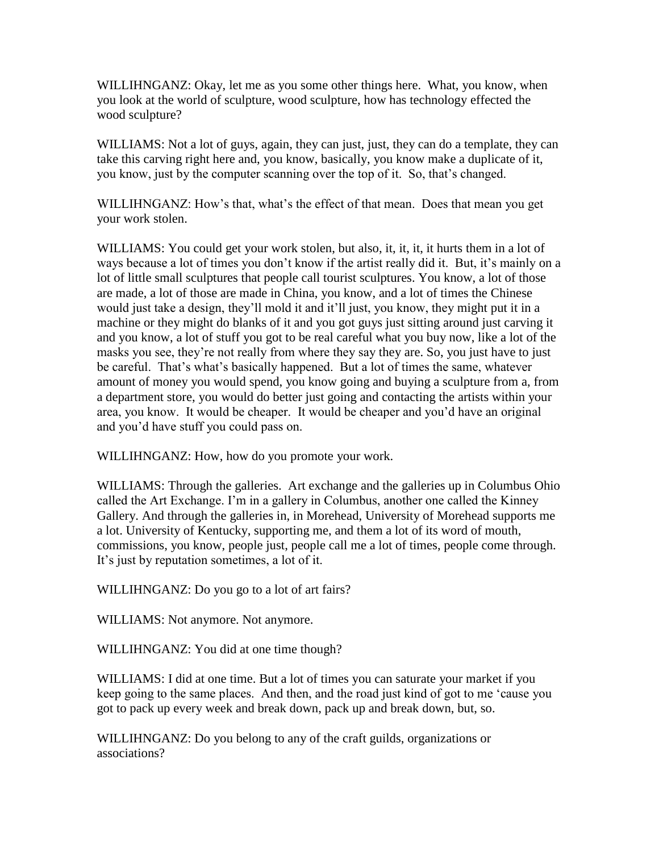WILLIHNGANZ: Okay, let me as you some other things here. What, you know, when you look at the world of sculpture, wood sculpture, how has technology effected the wood sculpture?

WILLIAMS: Not a lot of guys, again, they can just, just, they can do a template, they can take this carving right here and, you know, basically, you know make a duplicate of it, you know, just by the computer scanning over the top of it. So, that's changed.

WILLIHNGANZ: How's that, what's the effect of that mean. Does that mean you get your work stolen.

WILLIAMS: You could get your work stolen, but also, it, it, it, it hurts them in a lot of ways because a lot of times you don't know if the artist really did it. But, it's mainly on a lot of little small sculptures that people call tourist sculptures. You know, a lot of those are made, a lot of those are made in China, you know, and a lot of times the Chinese would just take a design, they'll mold it and it'll just, you know, they might put it in a machine or they might do blanks of it and you got guys just sitting around just carving it and you know, a lot of stuff you got to be real careful what you buy now, like a lot of the masks you see, they're not really from where they say they are. So, you just have to just be careful. That's what's basically happened. But a lot of times the same, whatever amount of money you would spend, you know going and buying a sculpture from a, from a department store, you would do better just going and contacting the artists within your area, you know. It would be cheaper. It would be cheaper and you'd have an original and you'd have stuff you could pass on.

WILLIHNGANZ: How, how do you promote your work.

WILLIAMS: Through the galleries. Art exchange and the galleries up in Columbus Ohio called the Art Exchange. I'm in a gallery in Columbus, another one called the Kinney Gallery. And through the galleries in, in Morehead, University of Morehead supports me a lot. University of Kentucky, supporting me, and them a lot of its word of mouth, commissions, you know, people just, people call me a lot of times, people come through. It's just by reputation sometimes, a lot of it.

WILLIHNGANZ: Do you go to a lot of art fairs?

WILLIAMS: Not anymore. Not anymore.

WILLIHNGANZ: You did at one time though?

WILLIAMS: I did at one time. But a lot of times you can saturate your market if you keep going to the same places. And then, and the road just kind of got to me 'cause you got to pack up every week and break down, pack up and break down, but, so.

WILLIHNGANZ: Do you belong to any of the craft guilds, organizations or associations?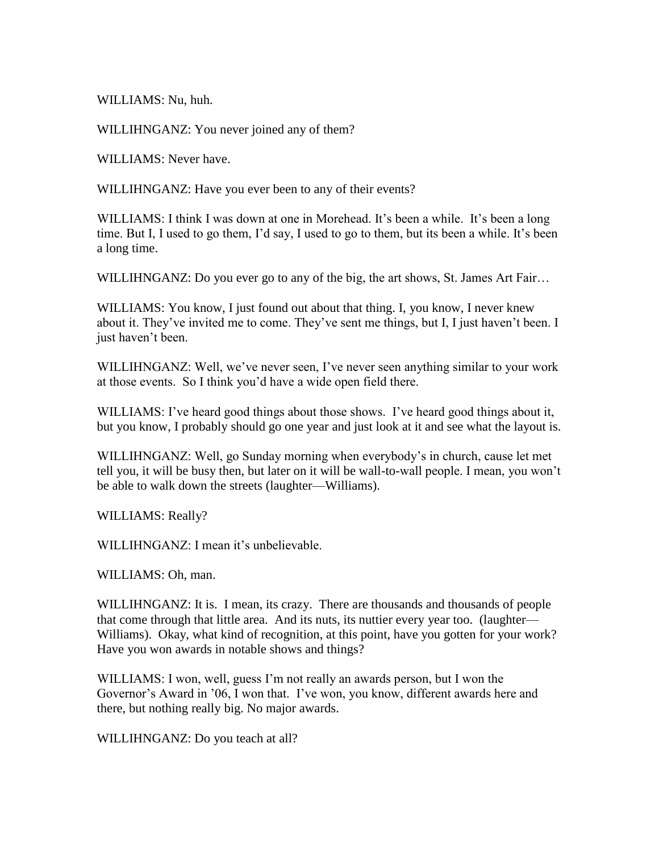WILLIAMS: Nu, huh.

WILLIHNGANZ: You never joined any of them?

WILLIAMS: Never have.

WILLIHNGANZ: Have you ever been to any of their events?

WILLIAMS: I think I was down at one in Morehead. It's been a while. It's been a long time. But I, I used to go them, I'd say, I used to go to them, but its been a while. It's been a long time.

WILLIHNGANZ: Do you ever go to any of the big, the art shows, St. James Art Fair...

WILLIAMS: You know, I just found out about that thing. I, you know, I never knew about it. They've invited me to come. They've sent me things, but I, I just haven't been. I just haven't been.

WILLIHNGANZ: Well, we've never seen, I've never seen anything similar to your work at those events. So I think you'd have a wide open field there.

WILLIAMS: I've heard good things about those shows. I've heard good things about it, but you know, I probably should go one year and just look at it and see what the layout is.

WILLIHNGANZ: Well, go Sunday morning when everybody's in church, cause let met tell you, it will be busy then, but later on it will be wall-to-wall people. I mean, you won't be able to walk down the streets (laughter—Williams).

WILLIAMS: Really?

WILLIHNGANZ: I mean it's unbelievable.

WILLIAMS: Oh, man.

WILLIHNGANZ: It is. I mean, its crazy. There are thousands and thousands of people that come through that little area. And its nuts, its nuttier every year too. (laughter— Williams). Okay, what kind of recognition, at this point, have you gotten for your work? Have you won awards in notable shows and things?

WILLIAMS: I won, well, guess I'm not really an awards person, but I won the Governor's Award in '06, I won that. I've won, you know, different awards here and there, but nothing really big. No major awards.

WILLIHNGANZ: Do you teach at all?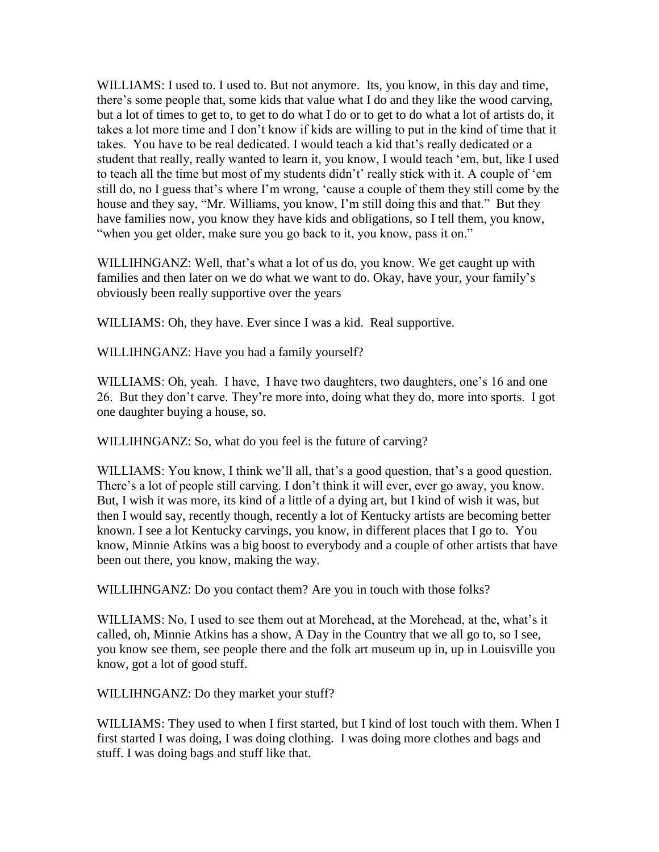WILLIAMS: I used to. I used to. But not anymore. Its, you know, in this day and time, there's some people that, some kids that value what I do and they like the wood carving, but a lot of times to get to, to get to do what I do or to get to do what a lot of artists do, it takes a lot more time and I don't know if kids are willing to put in the kind of time that it takes. You have to be real dedicated. I would teach a kid that's really dedicated or a student that really, really wanted to learn it, you know, I would teach 'em, but, like I used to teach all the time but most of my students didn't' really stick with it. A couple of 'em still do, no I guess that's where I'm wrong, 'cause a couple of them they still come by the house and they say, "Mr. Williams, you know, I'm still doing this and that." But they have families now, you know they have kids and obligations, so I tell them, you know, "when you get older, make sure you go back to it, you know, pass it on."

WILLIHNGANZ: Well, that's what a lot of us do, you know. We get caught up with families and then later on we do what we want to do. Okay, have your, your family's obviously been really supportive over the years

WILLIAMS: Oh, they have. Ever since I was a kid. Real supportive.

WILLIHNGANZ: Have you had a family yourself?

WILLIAMS: Oh, yeah. I have, I have two daughters, two daughters, one's 16 and one 26. But they don't carve. They're more into, doing what they do, more into sports. I got one daughter buying a house, so.

WILLIHNGANZ: So, what do you feel is the future of carving?

WILLIAMS: You know, I think we'll all, that's a good question, that's a good question. There's a lot of people still carving. I don't think it will ever, ever go away, you know. But, I wish it was more, its kind of a little of a dying art, but I kind of wish it was, but then I would say, recently though, recently a lot of Kentucky artists are becoming better known. I see a lot Kentucky carvings, you know, in different places that I go to. You know, Minnie Atkins was a big boost to everybody and a couple of other artists that have been out there, you know, making the way.

WILLIHNGANZ: Do you contact them? Are you in touch with those folks?

WILLIAMS: No, I used to see them out at Morehead, at the Morehead, at the, what's it called, oh, Minnie Atkins has a show, A Day in the Country that we all go to, so I see, you know see them, see people there and the folk art museum up in, up in Louisville you know, got a lot of good stuff.

WILLIHNGANZ: Do they market your stuff?

WILLIAMS: They used to when I first started, but I kind of lost touch with them. When I first started I was doing, I was doing clothing. I was doing more clothes and bags and stuff. I was doing bags and stuff like that.